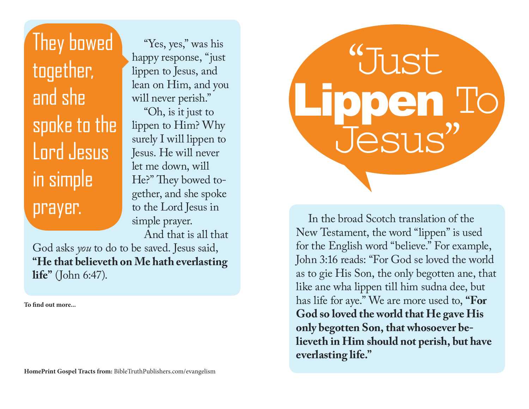They bowed together, and she spoke to the Lord Jesus in simple prayer.

"Yes, yes," was his happy response, "just lippen to Jesus, and lean on Him, and you will never perish." "Oh, is it just to lippen to Him? Why surely I will lippen to Jesus. He will never let me down, will He?" They bowed together, and she spoke to the Lord Jesus in simple prayer.

And that is all that

In the broad Scotch translation of the

"Just

Jesus"

Lippen To

New Testament, the word "lippen" is used

for the English word "believe." For example,

John 3:16 reads: "For God se loved the world

as to gie His Son, the only begotten ane, that

like ane wha lippen till him sudna dee, but has life for aye." We are more used to, **"For** 

**God so loved the world that He gave His** 

**lieveth in Him should not perish, but have** 

**only begotten Son, that whosoever be-**

**everlasting life."**

God asks *you* to do to be saved. Jesus said, **"He that believeth on Me hath everlasting life"** (John 6:47).

To find out more...